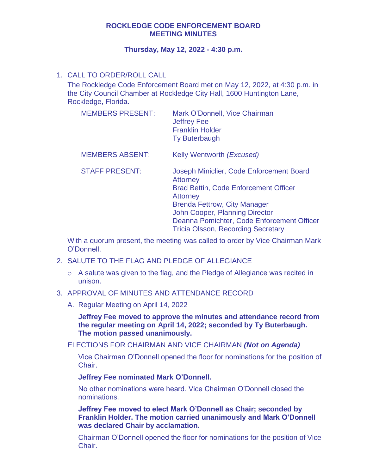# **ROCKLEDGE CODE ENFORCEMENT BOARD MEETING MINUTES**

## **Thursday, May 12, 2022 - 4:30 p.m.**

# 1. CALL TO ORDER/ROLL CALL

The Rockledge Code Enforcement Board met on May 12, 2022, at 4:30 p.m. in the City Council Chamber at Rockledge City Hall, 1600 Huntington Lane, Rockledge, Florida.

| <b>MEMBERS PRESENT:</b> | Mark O'Donnell, Vice Chairman<br><b>Jeffrey Fee</b><br><b>Franklin Holder</b><br><b>Ty Buterbaugh</b>                                                                                                                                                                                              |
|-------------------------|----------------------------------------------------------------------------------------------------------------------------------------------------------------------------------------------------------------------------------------------------------------------------------------------------|
| <b>MEMBERS ABSENT:</b>  | Kelly Wentworth ( <i>Excused</i> )                                                                                                                                                                                                                                                                 |
| <b>STAFF PRESENT:</b>   | Joseph Miniclier, Code Enforcement Board<br><b>Attorney</b><br><b>Brad Bettin, Code Enforcement Officer</b><br><b>Attorney</b><br><b>Brenda Fettrow, City Manager</b><br>John Cooper, Planning Director<br>Deanna Pomichter, Code Enforcement Officer<br><b>Tricia Olsson, Recording Secretary</b> |

With a quorum present, the meeting was called to order by Vice Chairman Mark O'Donnell.

- 2. SALUTE TO THE FLAG AND PLEDGE OF ALLEGIANCE
	- o A salute was given to the flag, and the Pledge of Allegiance was recited in unison.
- 3. APPROVAL OF MINUTES AND ATTENDANCE RECORD
	- A. Regular Meeting on April 14, 2022

**Jeffrey Fee moved to approve the minutes and attendance record from the regular meeting on April 14, 2022; seconded by Ty Buterbaugh. The motion passed unanimously.** 

ELECTIONS FOR CHAIRMAN AND VICE CHAIRMAN *(Not on Agenda)* 

Vice Chairman O'Donnell opened the floor for nominations for the position of Chair.

**Jeffrey Fee nominated Mark O'Donnell.** 

No other nominations were heard. Vice Chairman O'Donnell closed the nominations.

**Jeffrey Fee moved to elect Mark O'Donnell as Chair; seconded by Franklin Holder. The motion carried unanimously and Mark O'Donnell was declared Chair by acclamation.** 

Chairman O'Donnell opened the floor for nominations for the position of Vice Chair.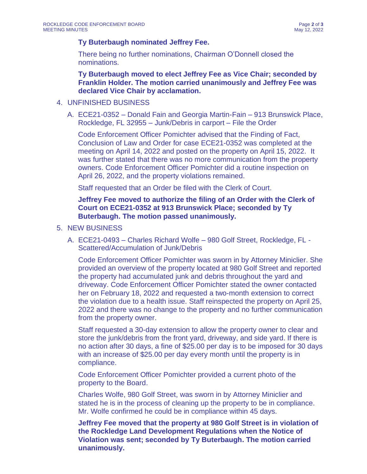## **Ty Buterbaugh nominated Jeffrey Fee.**

There being no further nominations, Chairman O'Donnell closed the nominations.

**Ty Buterbaugh moved to elect Jeffrey Fee as Vice Chair; seconded by Franklin Holder. The motion carried unanimously and Jeffrey Fee was declared Vice Chair by acclamation.** 

## 4. UNFINISHED BUSINESS

A. ECE21-0352 – Donald Fain and Georgia Martin-Fain – 913 Brunswick Place, Rockledge, FL 32955 – Junk/Debris in carport – File the Order

Code Enforcement Officer Pomichter advised that the Finding of Fact, Conclusion of Law and Order for case ECE21-0352 was completed at the meeting on April 14, 2022 and posted on the property on April 15, 2022. It was further stated that there was no more communication from the property owners. Code Enforcement Officer Pomichter did a routine inspection on April 26, 2022, and the property violations remained.

Staff requested that an Order be filed with the Clerk of Court.

**Jeffrey Fee moved to authorize the filing of an Order with the Clerk of Court on ECE21-0352 at 913 Brunswick Place; seconded by Ty Buterbaugh. The motion passed unanimously.** 

## 5. NEW BUSINESS

A. ECE21-0493 – Charles Richard Wolfe – 980 Golf Street, Rockledge, FL - Scattered/Accumulation of Junk/Debris

Code Enforcement Officer Pomichter was sworn in by Attorney Miniclier. She provided an overview of the property located at 980 Golf Street and reported the property had accumulated junk and debris throughout the yard and driveway. Code Enforcement Officer Pomichter stated the owner contacted her on February 18, 2022 and requested a two-month extension to correct the violation due to a health issue. Staff reinspected the property on April 25, 2022 and there was no change to the property and no further communication from the property owner.

Staff requested a 30-day extension to allow the property owner to clear and store the junk/debris from the front yard, driveway, and side yard. If there is no action after 30 days, a fine of \$25.00 per day is to be imposed for 30 days with an increase of \$25.00 per day every month until the property is in compliance.

Code Enforcement Officer Pomichter provided a current photo of the property to the Board.

Charles Wolfe, 980 Golf Street, was sworn in by Attorney Miniclier and stated he is in the process of cleaning up the property to be in compliance. Mr. Wolfe confirmed he could be in compliance within 45 days.

**Jeffrey Fee moved that the property at 980 Golf Street is in violation of the Rockledge Land Development Regulations when the Notice of Violation was sent; seconded by Ty Buterbaugh. The motion carried unanimously.**